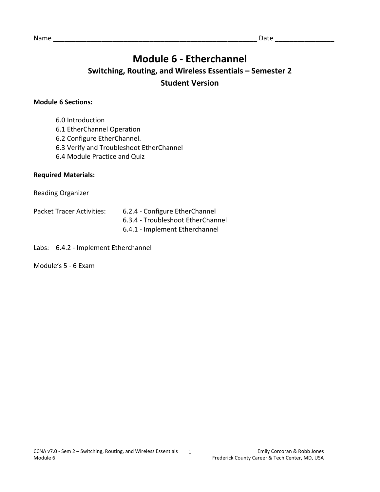# **Module 6 - Etherchannel Switching, Routing, and Wireless Essentials – Semester 2 Student Version**

### **Module 6 Sections:**

6.0 Introduction

6.1 EtherChannel Operation

6.2 Configure EtherChannel.

6.3 Verify and Troubleshoot EtherChannel

6.4 Module Practice and Quiz

### **Required Materials:**

Reading Organizer

Packet Tracer Activities: 6.2.4 - Configure EtherChannel 6.3.4 - Troubleshoot EtherChannel 6.4.1 - Implement Etherchannel

Labs: 6.4.2 - Implement Etherchannel

Module's 5 - 6 Exam

1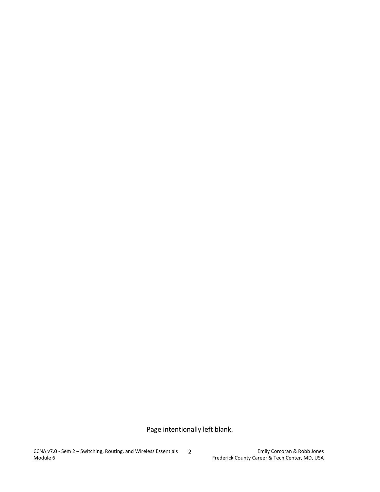## Page intentionally left blank.

### 2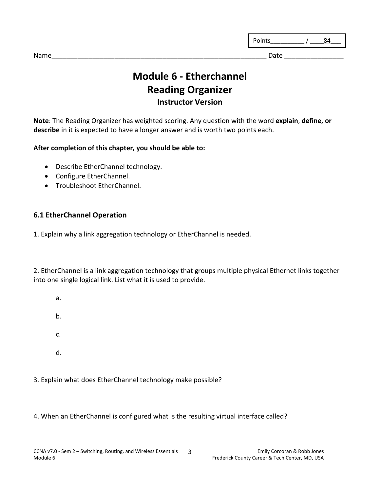Name\_\_\_\_\_\_\_\_\_\_\_\_\_\_\_\_\_\_\_\_\_\_\_\_\_\_\_\_\_\_\_\_\_\_\_\_\_\_\_\_\_\_\_\_\_\_\_\_\_\_\_\_\_\_\_\_\_\_ Date \_\_\_\_\_\_\_\_\_\_\_\_\_\_\_\_

# **Module 6 - Etherchannel Reading Organizer Instructor Version**

**Note**: The Reading Organizer has weighted scoring. Any question with the word **explain**, **define, or describe** in it is expected to have a longer answer and is worth two points each.

## **After completion of this chapter, you should be able to:**

- Describe EtherChannel technology.
- Configure EtherChannel.
- Troubleshoot EtherChannel.

# **6.1 EtherChannel Operation**

1. Explain why a link aggregation technology or EtherChannel is needed.

2. EtherChannel is a link aggregation technology that groups multiple physical Ethernet links together into one single logical link. List what it is used to provide.

- a.
- b.
- c.
- d.
- 3. Explain what does EtherChannel technology make possible?

4. When an EtherChannel is configured what is the resulting virtual interface called?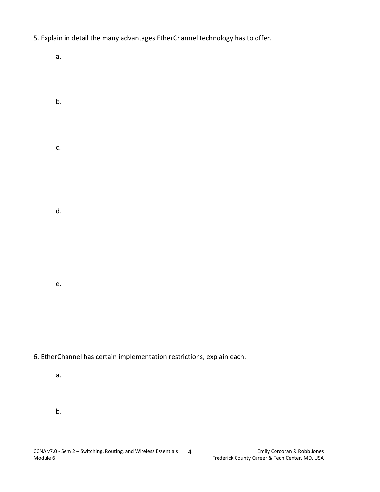- 5. Explain in detail the many advantages EtherChannel technology has to offer.
	- b. c.

d.

a.

e.

6. EtherChannel has certain implementation restrictions, explain each.

a.

b.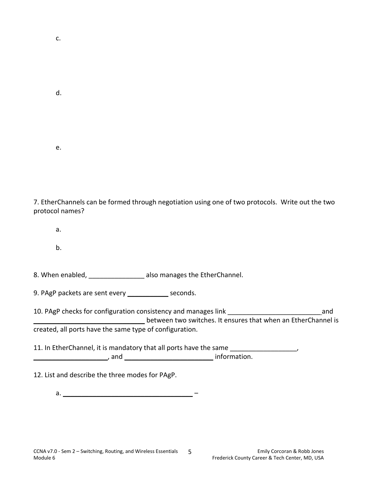d.

e.

c.

7. EtherChannels can be formed through negotiation using one of two protocols. Write out the two protocol names?

a.

b.

8. When enabled, \_\_\_\_\_\_\_\_\_\_\_\_\_\_\_ also manages the EtherChannel.

9. PAgP packets are sent every \_\_\_\_\_\_\_\_\_\_\_\_ seconds.

10. PAgP checks for configuration consistency and manages link \_\_\_\_\_\_\_\_\_\_\_\_\_\_\_\_\_\_\_\_\_\_\_\_\_ and \_\_\_\_\_\_\_\_\_\_\_\_\_\_\_\_\_\_\_\_\_\_\_\_\_\_\_\_\_\_ between two switches. It ensures that when an EtherChannel is created, all ports have the same type of configuration.

11. In EtherChannel, it is mandatory that all ports have the same \_\_\_\_\_\_\_ \_\_\_\_\_\_\_\_\_\_\_\_\_\_\_\_\_\_\_\_, and \_\_\_\_\_\_\_\_\_\_\_\_\_\_\_\_\_\_\_\_\_\_\_\_ information.

12. List and describe the three modes for PAgP.

a. \_\_\_\_\_\_\_\_\_\_\_\_\_\_\_\_\_\_\_\_\_\_\_\_\_\_\_\_\_\_\_\_\_\_\_ –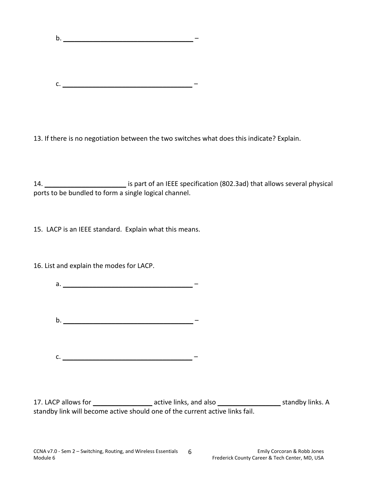| b. |  |  |  |  |
|----|--|--|--|--|
|    |  |  |  |  |
|    |  |  |  |  |
|    |  |  |  |  |
|    |  |  |  |  |
| C. |  |  |  |  |

13. If there is no negotiation between the two switches what does this indicate? Explain.

14. \_\_\_\_\_\_\_\_\_\_\_\_\_\_\_\_\_\_\_\_\_\_ is part of an IEEE specification (802.3ad) that allows several physical ports to be bundled to form a single logical channel.

15. LACP is an IEEE standard. Explain what this means.

16. List and explain the modes for LACP.

a. \_\_\_\_\_\_\_\_\_\_\_\_\_\_\_\_\_\_\_\_\_\_\_\_\_\_\_\_\_\_\_\_\_\_\_ –

b. \_\_\_\_\_\_\_\_\_\_\_\_\_\_\_\_\_\_\_\_\_\_\_\_\_\_\_\_\_\_\_\_\_\_\_ –

c.  $\frac{1}{\sqrt{2}}$ 

17. LACP allows for \_\_\_\_\_\_\_\_\_\_\_\_\_\_\_\_\_\_\_\_\_ active links, and also \_\_\_\_\_\_\_\_\_\_\_\_\_\_\_\_\_\_\_\_\_\_ standby links. A standby link will become active should one of the current active links fail.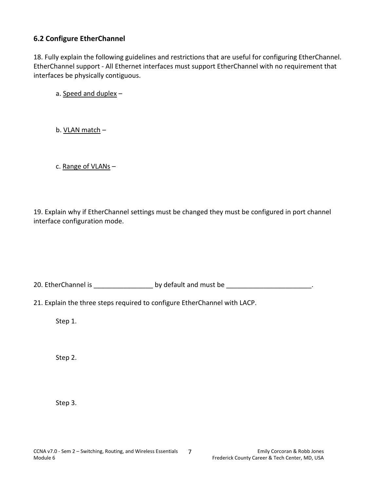## **6.2 Configure EtherChannel**

18. Fully explain the following guidelines and restrictions that are useful for configuring EtherChannel. EtherChannel support - All Ethernet interfaces must support EtherChannel with no requirement that interfaces be physically contiguous.

a. Speed and duplex –

b. VLAN match –

c. Range of VLANs –

19. Explain why if EtherChannel settings must be changed they must be configured in port channel interface configuration mode.

20. EtherChannel is \_\_\_\_\_\_\_\_\_\_\_\_\_\_\_\_\_\_\_\_\_\_ by default and must be \_\_\_\_\_\_\_\_\_\_\_\_\_\_

21. Explain the three steps required to configure EtherChannel with LACP.

Step 1.

Step 2.

Step 3.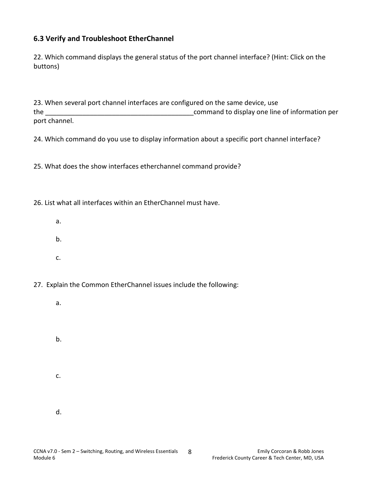## **6.3 Verify and Troubleshoot EtherChannel**

22. Which command displays the general status of the port channel interface? (Hint: Click on the buttons)

23. When several port channel interfaces are configured on the same device, use the \_\_\_\_\_\_\_\_\_\_\_\_\_\_\_\_\_\_\_\_\_\_\_\_\_\_\_\_\_\_\_\_\_\_\_\_\_\_\_\_command to display one line of information per port channel.

24. Which command do you use to display information about a specific port channel interface?

25. What does the show interfaces etherchannel command provide?

26. List what all interfaces within an EtherChannel must have.

- a.
- b.
- c.

27. Explain the Common EtherChannel issues include the following:

- a.
- b.
- c.
- d.